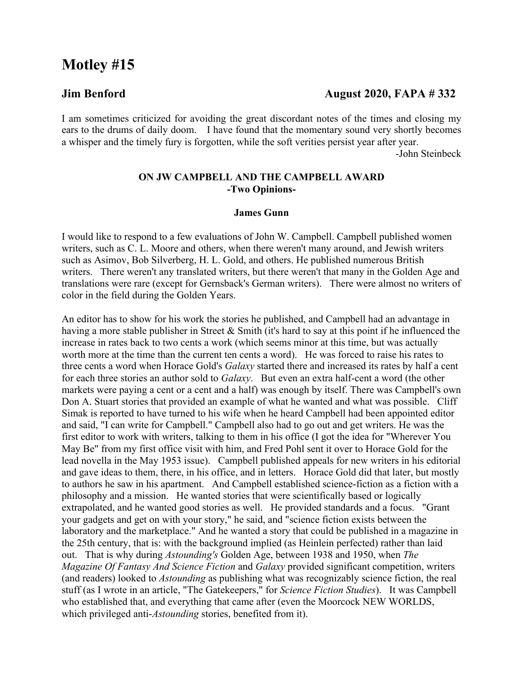# **Motley #15**

# **Jim Benford August 2020, FAPA # 332**

I am sometimes criticized for avoiding the great discordant notes of the times and closing my ears to the drums of daily doom. I have found that the momentary sound very shortly becomes a whisper and the timely fury is forgotten, while the soft verities persist year after year.

-John Steinbeck

### **ON JW CAMPBELL AND THE CAMPBELL AWARD -Two Opinions-**

#### **James Gunn**

I would like to respond to a few evaluations of John W. Campbell. Campbell published women writers, such as C. L. Moore and others, when there weren't many around, and Jewish writers such as Asimov, Bob Silverberg, H. L. Gold, and others. He published numerous British writers. There weren't any translated writers, but there weren't that many in the Golden Age and translations were rare (except for Gernsback's German writers). There were almost no writers of color in the field during the Golden Years.

An editor has to show for his work the stories he published, and Campbell had an advantage in having a more stable publisher in Street & Smith (it's hard to say at this point if he influenced the increase in rates back to two cents a work (which seems minor at this time, but was actually worth more at the time than the current ten cents a word). He was forced to raise his rates to three cents a word when Horace Gold's *Galaxy* started there and increased its rates by half a cent for each three stories an author sold to *Galaxy*. But even an extra half-cent a word (the other markets were paying a cent or a cent and a half) was enough by itself. There was Campbell's own Don A. Stuart stories that provided an example of what he wanted and what was possible. Cliff Simak is reported to have turned to his wife when he heard Campbell had been appointed editor and said, "I can write for Campbell." Campbell also had to go out and get writers. He was the first editor to work with writers, talking to them in his office (I got the idea for "Wherever You May Be" from my first office visit with him, and Fred Pohl sent it over to Horace Gold for the lead novella in the May 1953 issue). Campbell published appeals for new writers in his editorial and gave ideas to them, there, in his office, and in letters. Horace Gold did that later, but mostly to authors he saw in his apartment. And Campbell established science-fiction as a fiction with a philosophy and a mission. He wanted stories that were scientifically based or logically extrapolated, and he wanted good stories as well. He provided standards and a focus. "Grant your gadgets and get on with your story," he said, and "science fiction exists between the laboratory and the marketplace." And he wanted a story that could be published in a magazine in the 25th century, that is: with the background implied (as Heinlein perfected) rather than laid out. That is why during *Astounding's* Golden Age, between 1938 and 1950, when *The Magazine Of Fantasy And Science Fiction* and *Galaxy* provided significant competition, writers (and readers) looked to *Astounding* as publishing what was recognizably science fiction, the real stuff (as I wrote in an article, "The Gatekeepers," for *Science Fiction Studies*). It was Campbell who established that, and everything that came after (even the Moorcock NEW WORLDS, which privileged anti-*Astounding* stories, benefited from it).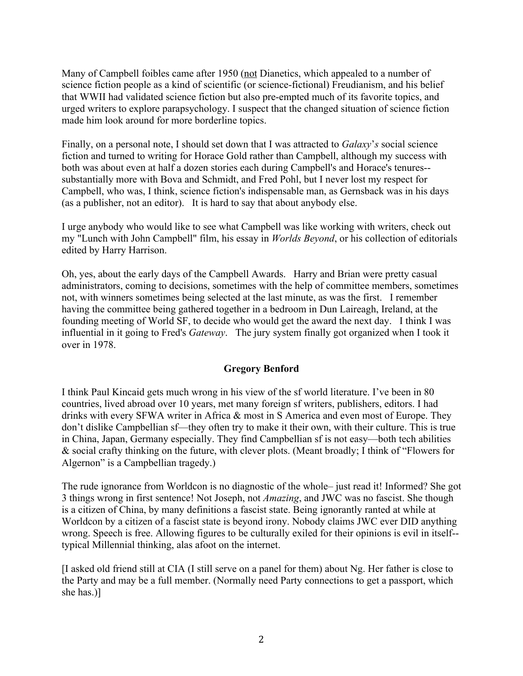Many of Campbell foibles came after 1950 (not Dianetics, which appealed to a number of science fiction people as a kind of scientific (or science-fictional) Freudianism, and his belief that WWII had validated science fiction but also pre-empted much of its favorite topics, and urged writers to explore parapsychology. I suspect that the changed situation of science fiction made him look around for more borderline topics.

Finally, on a personal note, I should set down that I was attracted to *Galaxy*'*s* social science fiction and turned to writing for Horace Gold rather than Campbell, although my success with both was about even at half a dozen stories each during Campbell's and Horace's tenures- substantially more with Bova and Schmidt, and Fred Pohl, but I never lost my respect for Campbell, who was, I think, science fiction's indispensable man, as Gernsback was in his days (as a publisher, not an editor). It is hard to say that about anybody else.

I urge anybody who would like to see what Campbell was like working with writers, check out my "Lunch with John Campbell" film, his essay in *Worlds Beyond*, or his collection of editorials edited by Harry Harrison.

Oh, yes, about the early days of the Campbell Awards. Harry and Brian were pretty casual administrators, coming to decisions, sometimes with the help of committee members, sometimes not, with winners sometimes being selected at the last minute, as was the first. I remember having the committee being gathered together in a bedroom in Dun Laireagh, Ireland, at the founding meeting of World SF, to decide who would get the award the next day. I think I was influential in it going to Fred's *Gateway*. The jury system finally got organized when I took it over in 1978.

# **Gregory Benford**

I think Paul Kincaid gets much wrong in his view of the sf world literature. I've been in 80 countries, lived abroad over 10 years, met many foreign sf writers, publishers, editors. I had drinks with every SFWA writer in Africa & most in S America and even most of Europe. They don't dislike Campbellian sf—they often try to make it their own, with their culture. This is true in China, Japan, Germany especially. They find Campbellian sf is not easy—both tech abilities & social crafty thinking on the future, with clever plots. (Meant broadly; I think of "Flowers for Algernon" is a Campbellian tragedy.)

The rude ignorance from Worldcon is no diagnostic of the whole– just read it! Informed? She got 3 things wrong in first sentence! Not Joseph, not *Amazing*, and JWC was no fascist. She though is a citizen of China, by many definitions a fascist state. Being ignorantly ranted at while at Worldcon by a citizen of a fascist state is beyond irony. Nobody claims JWC ever DID anything wrong. Speech is free. Allowing figures to be culturally exiled for their opinions is evil in itself- typical Millennial thinking, alas afoot on the internet.

[I asked old friend still at CIA (I still serve on a panel for them) about Ng. Her father is close to the Party and may be a full member. (Normally need Party connections to get a passport, which she has.)]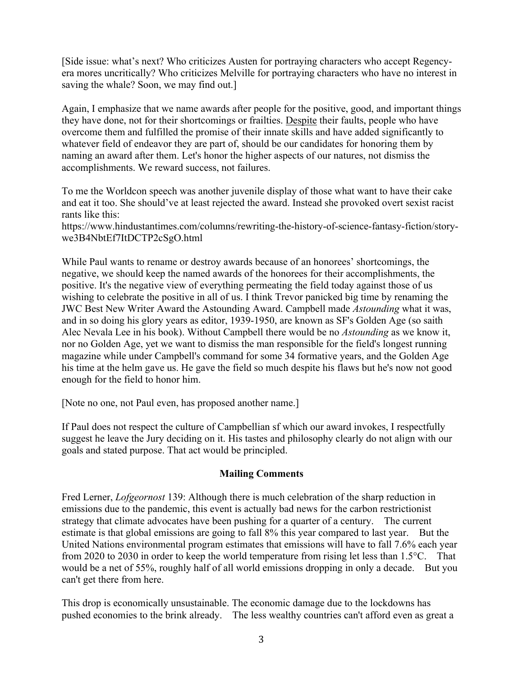[Side issue: what's next? Who criticizes Austen for portraying characters who accept Regencyera mores uncritically? Who criticizes Melville for portraying characters who have no interest in saving the whale? Soon, we may find out.]

Again, I emphasize that we name awards after people for the positive, good, and important things they have done, not for their shortcomings or frailties. Despite their faults, people who have overcome them and fulfilled the promise of their innate skills and have added significantly to whatever field of endeavor they are part of, should be our candidates for honoring them by naming an award after them. Let's honor the higher aspects of our natures, not dismiss the accomplishments. We reward success, not failures.

To me the Worldcon speech was another juvenile display of those what want to have their cake and eat it too. She should've at least rejected the award. Instead she provoked overt sexist racist rants like this:

https://www.hindustantimes.com/columns/rewriting-the-history-of-science-fantasy-fiction/storywe3B4NbtEf7ItDCTP2cSgO.html

While Paul wants to rename or destroy awards because of an honorees' shortcomings, the negative, we should keep the named awards of the honorees for their accomplishments, the positive. It's the negative view of everything permeating the field today against those of us wishing to celebrate the positive in all of us. I think Trevor panicked big time by renaming the JWC Best New Writer Award the Astounding Award. Campbell made *Astounding* what it was, and in so doing his glory years as editor, 1939-1950, are known as SF's Golden Age (so saith Alec Nevala Lee in his book). Without Campbell there would be no *Astounding* as we know it, nor no Golden Age, yet we want to dismiss the man responsible for the field's longest running magazine while under Campbell's command for some 34 formative years, and the Golden Age his time at the helm gave us. He gave the field so much despite his flaws but he's now not good enough for the field to honor him.

[Note no one, not Paul even, has proposed another name.]

If Paul does not respect the culture of Campbellian sf which our award invokes, I respectfully suggest he leave the Jury deciding on it. His tastes and philosophy clearly do not align with our goals and stated purpose. That act would be principled.

# **Mailing Comments**

Fred Lerner, *Lofgeornost* 139: Although there is much celebration of the sharp reduction in emissions due to the pandemic, this event is actually bad news for the carbon restrictionist strategy that climate advocates have been pushing for a quarter of a century. The current estimate is that global emissions are going to fall 8% this year compared to last year. But the United Nations environmental program estimates that emissions will have to fall 7.6% each year from 2020 to 2030 in order to keep the world temperature from rising let less than 1.5°C. That would be a net of 55%, roughly half of all world emissions dropping in only a decade. But you can't get there from here.

This drop is economically unsustainable. The economic damage due to the lockdowns has pushed economies to the brink already. The less wealthy countries can't afford even as great a